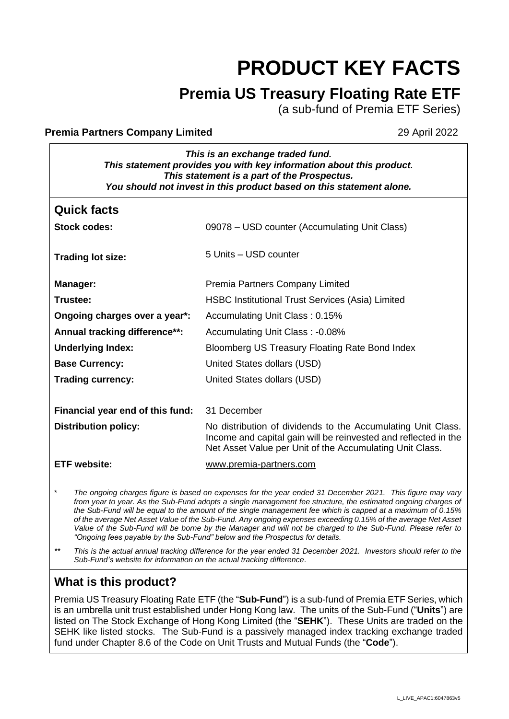# **PRODUCT KEY FACTS**

## **Premia US Treasury Floating Rate ETF**

(a sub-fund of Premia ETF Series)

#### **Premia Partners Company Limited 29 April 2022**

| This is an exchange traded fund.                                     |  |
|----------------------------------------------------------------------|--|
| This statement provides you with key information about this product. |  |
| This statement is a part of the Prospectus.                          |  |
| You should not invest in this product based on this statement alone. |  |

| <b>Quick facts</b>               |                                                                                                                                                                                             |
|----------------------------------|---------------------------------------------------------------------------------------------------------------------------------------------------------------------------------------------|
| <b>Stock codes:</b>              | 09078 – USD counter (Accumulating Unit Class)                                                                                                                                               |
| <b>Trading lot size:</b>         | 5 Units - USD counter                                                                                                                                                                       |
| Manager:                         | Premia Partners Company Limited                                                                                                                                                             |
| Trustee:                         | <b>HSBC Institutional Trust Services (Asia) Limited</b>                                                                                                                                     |
| Ongoing charges over a year*:    | Accumulating Unit Class: 0.15%                                                                                                                                                              |
| Annual tracking difference**:    | Accumulating Unit Class: -0.08%                                                                                                                                                             |
| <b>Underlying Index:</b>         | Bloomberg US Treasury Floating Rate Bond Index                                                                                                                                              |
| <b>Base Currency:</b>            | United States dollars (USD)                                                                                                                                                                 |
| <b>Trading currency:</b>         | United States dollars (USD)                                                                                                                                                                 |
|                                  |                                                                                                                                                                                             |
| Financial year end of this fund: | 31 December                                                                                                                                                                                 |
| <b>Distribution policy:</b>      | No distribution of dividends to the Accumulating Unit Class.<br>Income and capital gain will be reinvested and reflected in the<br>Net Asset Value per Unit of the Accumulating Unit Class. |
| <b>ETF</b> website:              | www.premia-partners.com                                                                                                                                                                     |
|                                  |                                                                                                                                                                                             |

\* *The ongoing charges figure is based on expenses for the year ended 31 December 2021. This figure may vary*  from year to year. As the Sub-Fund adopts a single management fee structure, the estimated ongoing charges of *the Sub-Fund will be equal to the amount of the single management fee which is capped at a maximum of 0.15% of the average Net Asset Value of the Sub-Fund. Any ongoing expenses exceeding 0.15% of the average Net Asset Value of the Sub-Fund will be borne by the Manager and will not be charged to the Sub-Fund. Please refer to "Ongoing fees payable by the Sub-Fund" below and the Prospectus for details.*

*\*\* This is the actual annual tracking difference for the year ended 31 December 2021. Investors should refer to the Sub-Fund's website for information on the actual tracking difference*.

## **What is this product?**

Premia US Treasury Floating Rate ETF (the "**Sub-Fund**") is a sub-fund of Premia ETF Series, which is an umbrella unit trust established under Hong Kong law. The units of the Sub-Fund ("**Units**") are listed on The Stock Exchange of Hong Kong Limited (the "**SEHK**"). These Units are traded on the SEHK like listed stocks. The Sub-Fund is a passively managed index tracking exchange traded fund under Chapter 8.6 of the Code on Unit Trusts and Mutual Funds (the "**Code**").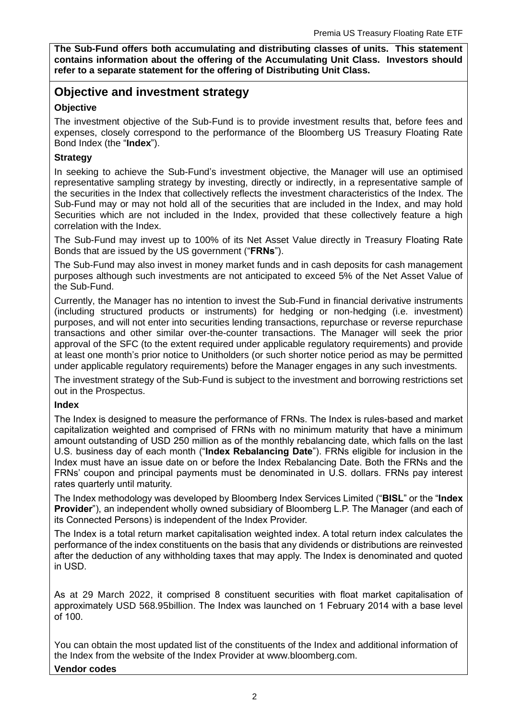**The Sub-Fund offers both accumulating and distributing classes of units. This statement contains information about the offering of the Accumulating Unit Class. Investors should refer to a separate statement for the offering of Distributing Unit Class.**

## **Objective and investment strategy**

#### **Objective**

The investment objective of the Sub-Fund is to provide investment results that, before fees and expenses, closely correspond to the performance of the Bloomberg US Treasury Floating Rate Bond Index (the "**Index**").

#### **Strategy**

In seeking to achieve the Sub-Fund's investment objective, the Manager will use an optimised representative sampling strategy by investing, directly or indirectly, in a representative sample of the securities in the Index that collectively reflects the investment characteristics of the Index. The Sub-Fund may or may not hold all of the securities that are included in the Index, and may hold Securities which are not included in the Index, provided that these collectively feature a high correlation with the Index.

The Sub-Fund may invest up to 100% of its Net Asset Value directly in Treasury Floating Rate Bonds that are issued by the US government ("**FRNs**").

The Sub-Fund may also invest in money market funds and in cash deposits for cash management purposes although such investments are not anticipated to exceed 5% of the Net Asset Value of the Sub-Fund.

Currently, the Manager has no intention to invest the Sub-Fund in financial derivative instruments (including structured products or instruments) for hedging or non-hedging (i.e. investment) purposes, and will not enter into securities lending transactions, repurchase or reverse repurchase transactions and other similar over-the-counter transactions. The Manager will seek the prior approval of the SFC (to the extent required under applicable regulatory requirements) and provide at least one month's prior notice to Unitholders (or such shorter notice period as may be permitted under applicable regulatory requirements) before the Manager engages in any such investments.

The investment strategy of the Sub-Fund is subject to the investment and borrowing restrictions set out in the Prospectus.

#### **Index**

The Index is designed to measure the performance of FRNs. The Index is rules-based and market capitalization weighted and comprised of FRNs with no minimum maturity that have a minimum amount outstanding of USD 250 million as of the monthly rebalancing date, which falls on the last U.S. business day of each month ("**Index Rebalancing Date**"). FRNs eligible for inclusion in the Index must have an issue date on or before the Index Rebalancing Date. Both the FRNs and the FRNs' coupon and principal payments must be denominated in U.S. dollars. FRNs pay interest rates quarterly until maturity.

The Index methodology was developed by Bloomberg Index Services Limited ("**BISL**" or the "**Index Provider**"), an independent wholly owned subsidiary of Bloomberg L.P. The Manager (and each of its Connected Persons) is independent of the Index Provider.

The Index is a total return market capitalisation weighted index. A total return index calculates the performance of the index constituents on the basis that any dividends or distributions are reinvested after the deduction of any withholding taxes that may apply. The Index is denominated and quoted in USD.

As at 29 March 2022, it comprised 8 constituent securities with float market capitalisation of approximately USD 568.95billion. The Index was launched on 1 February 2014 with a base level of 100.

You can obtain the most updated list of the constituents of the Index and additional information of the Index from the website of the Index Provider at [www.bloomberg.com.](http://www.bloomberg.com/) **Vendor codes**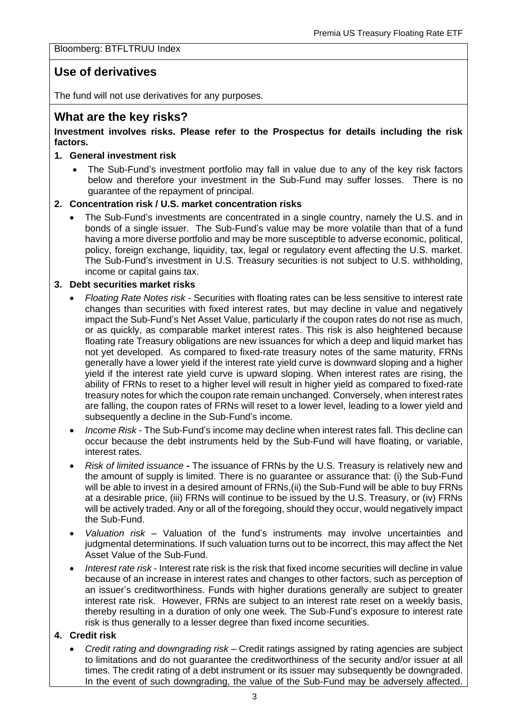#### Bloomberg: BTFLTRUU Index

## **Use of derivatives**

The fund will not use derivatives for any purposes.

## **What are the key risks?**

**Investment involves risks. Please refer to the Prospectus for details including the risk factors.**

#### **1. General investment risk**

• The Sub-Fund's investment portfolio may fall in value due to any of the key risk factors below and therefore your investment in the Sub-Fund may suffer losses. There is no guarantee of the repayment of principal.

#### **2. Concentration risk / U.S. market concentration risks**

• The Sub-Fund's investments are concentrated in a single country, namely the U.S. and in bonds of a single issuer. The Sub-Fund's value may be more volatile than that of a fund having a more diverse portfolio and may be more susceptible to adverse economic, political, policy, foreign exchange, liquidity, tax, legal or regulatory event affecting the U.S. market. The Sub-Fund's investment in U.S. Treasury securities is not subject to U.S. withholding, income or capital gains tax.

#### **3. Debt securities market risks**

- *Floating Rate Notes risk* Securities with floating rates can be less sensitive to interest rate changes than securities with fixed interest rates, but may decline in value and negatively impact the Sub-Fund's Net Asset Value, particularly if the coupon rates do not rise as much, or as quickly, as comparable market interest rates. This risk is also heightened because floating rate Treasury obligations are new issuances for which a deep and liquid market has not yet developed. As compared to fixed-rate treasury notes of the same maturity, FRNs generally have a lower yield if the interest rate yield curve is downward sloping and a higher yield if the interest rate yield curve is upward sloping. When interest rates are rising, the ability of FRNs to reset to a higher level will result in higher yield as compared to fixed-rate treasury notes for which the coupon rate remain unchanged. Conversely, when interest rates are falling, the coupon rates of FRNs will reset to a lower level, leading to a lower yield and subsequently a decline in the Sub-Fund's income.
- *Income Risk -* The Sub-Fund's income may decline when interest rates fall. This decline can occur because the debt instruments held by the Sub-Fund will have floating, or variable, interest rates.
- *Risk of limited issuance* **-** The issuance of FRNs by the U.S. Treasury is relatively new and the amount of supply is limited. There is no guarantee or assurance that: (i) the Sub-Fund will be able to invest in a desired amount of FRNs, (ii) the Sub-Fund will be able to buy FRNs at a desirable price, (iii) FRNs will continue to be issued by the U.S. Treasury, or (iv) FRNs will be actively traded. Any or all of the foregoing, should they occur, would negatively impact the Sub-Fund.
- *Valuation risk* Valuation of the fund's instruments may involve uncertainties and judgmental determinations. If such valuation turns out to be incorrect, this may affect the Net Asset Value of the Sub-Fund.
- *Interest rate risk* Interest rate risk is the risk that fixed income securities will decline in value because of an increase in interest rates and changes to other factors, such as perception of an issuer's creditworthiness. Funds with higher durations generally are subject to greater interest rate risk. However, FRNs are subject to an interest rate reset on a weekly basis, thereby resulting in a duration of only one week. The Sub-Fund's exposure to interest rate risk is thus generally to a lesser degree than fixed income securities.

#### **4. Credit risk**

• *Credit rating and downgrading risk* – Credit ratings assigned by rating agencies are subject to limitations and do not guarantee the creditworthiness of the security and/or issuer at all times. The credit rating of a debt instrument or its issuer may subsequently be downgraded. In the event of such downgrading, the value of the Sub-Fund may be adversely affected.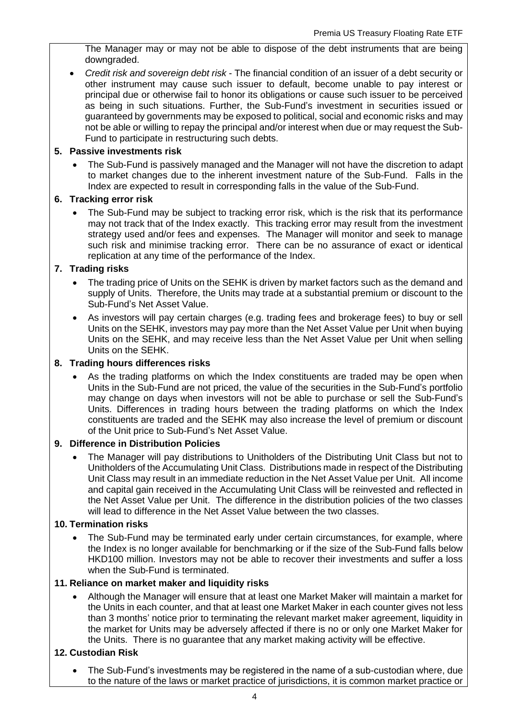The Manager may or may not be able to dispose of the debt instruments that are being downgraded.

• *Credit risk and sovereign debt risk* - The financial condition of an issuer of a debt security or other instrument may cause such issuer to default, become unable to pay interest or principal due or otherwise fail to honor its obligations or cause such issuer to be perceived as being in such situations. Further, the Sub-Fund's investment in securities issued or guaranteed by governments may be exposed to political, social and economic risks and may not be able or willing to repay the principal and/or interest when due or may request the Sub-Fund to participate in restructuring such debts.

#### **5. Passive investments risk**

• The Sub-Fund is passively managed and the Manager will not have the discretion to adapt to market changes due to the inherent investment nature of the Sub-Fund. Falls in the Index are expected to result in corresponding falls in the value of the Sub-Fund.

#### **6. Tracking error risk**

• The Sub-Fund may be subject to tracking error risk, which is the risk that its performance may not track that of the Index exactly. This tracking error may result from the investment strategy used and/or fees and expenses. The Manager will monitor and seek to manage such risk and minimise tracking error. There can be no assurance of exact or identical replication at any time of the performance of the Index.

#### **7. Trading risks**

- The trading price of Units on the SEHK is driven by market factors such as the demand and supply of Units. Therefore, the Units may trade at a substantial premium or discount to the Sub-Fund's Net Asset Value.
- As investors will pay certain charges (e.g. trading fees and brokerage fees) to buy or sell Units on the SEHK, investors may pay more than the Net Asset Value per Unit when buying Units on the SEHK, and may receive less than the Net Asset Value per Unit when selling Units on the SEHK.

#### **8. Trading hours differences risks**

As the trading platforms on which the Index constituents are traded may be open when Units in the Sub-Fund are not priced, the value of the securities in the Sub-Fund's portfolio may change on days when investors will not be able to purchase or sell the Sub-Fund's Units. Differences in trading hours between the trading platforms on which the Index constituents are traded and the SEHK may also increase the level of premium or discount of the Unit price to Sub-Fund's Net Asset Value.

#### **9. Difference in Distribution Policies**

• The Manager will pay distributions to Unitholders of the Distributing Unit Class but not to Unitholders of the Accumulating Unit Class. Distributions made in respect of the Distributing Unit Class may result in an immediate reduction in the Net Asset Value per Unit. All income and capital gain received in the Accumulating Unit Class will be reinvested and reflected in the Net Asset Value per Unit. The difference in the distribution policies of the two classes will lead to difference in the Net Asset Value between the two classes.

#### **10. Termination risks**

• The Sub-Fund may be terminated early under certain circumstances, for example, where the Index is no longer available for benchmarking or if the size of the Sub-Fund falls below HKD100 million. Investors may not be able to recover their investments and suffer a loss when the Sub-Fund is terminated.

#### **11. Reliance on market maker and liquidity risks**

• Although the Manager will ensure that at least one Market Maker will maintain a market for the Units in each counter, and that at least one Market Maker in each counter gives not less than 3 months' notice prior to terminating the relevant market maker agreement, liquidity in the market for Units may be adversely affected if there is no or only one Market Maker for the Units. There is no guarantee that any market making activity will be effective.

#### **12. Custodian Risk**

• The Sub-Fund's investments may be registered in the name of a sub-custodian where, due to the nature of the laws or market practice of jurisdictions, it is common market practice or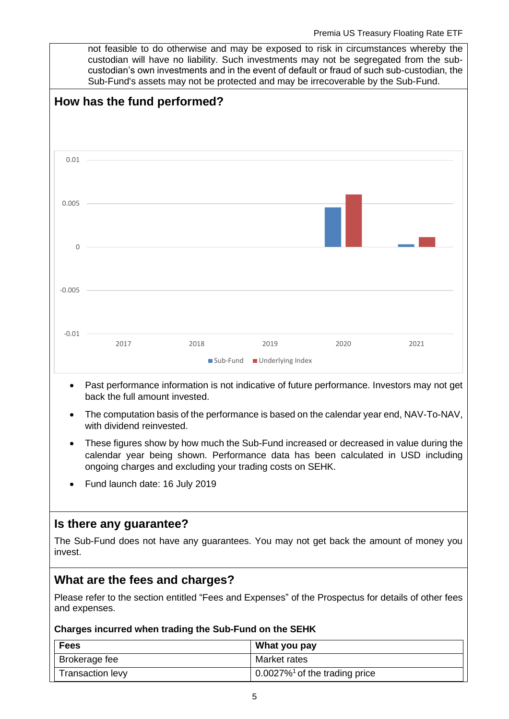not feasible to do otherwise and may be exposed to risk in circumstances whereby the custodian will have no liability. Such investments may not be segregated from the subcustodian's own investments and in the event of default or fraud of such sub-custodian, the Sub-Fund's assets may not be protected and may be irrecoverable by the Sub-Fund.



- Past performance information is not indicative of future performance. Investors may not get back the full amount invested.
- The computation basis of the performance is based on the calendar year end, NAV-To-NAV, with dividend reinvested.
- These figures show by how much the Sub-Fund increased or decreased in value during the calendar year being shown. Performance data has been calculated in USD including ongoing charges and excluding your trading costs on SEHK.
- Fund launch date: 16 July 2019

## **Is there any guarantee?**

The Sub-Fund does not have any guarantees. You may not get back the amount of money you invest.

## **What are the fees and charges?**

Please refer to the section entitled "Fees and Expenses" of the Prospectus for details of other fees and expenses.

#### **Charges incurred when trading the Sub-Fund on the SEHK**

| <b>Fees</b>             | What you pay                                 |
|-------------------------|----------------------------------------------|
| Brokerage fee           | Market rates                                 |
| <b>Transaction levy</b> | $0.0027\%$ <sup>1</sup> of the trading price |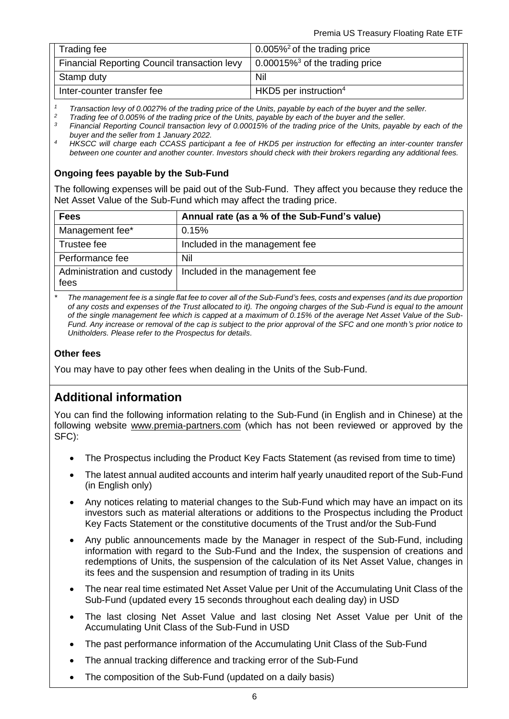| Trading fee                                  | $\frac{1}{2}$ 0.005% <sup>2</sup> of the trading price |
|----------------------------------------------|--------------------------------------------------------|
| Financial Reporting Council transaction levy | $\vert$ 0.00015% <sup>3</sup> of the trading price     |
| Stamp duty                                   | Nil                                                    |
| Inter-counter transfer fee                   | $HKD5$ per instruction <sup>4</sup>                    |

*<sup>1</sup> Transaction levy of 0.0027% of the trading price of the Units, payable by each of the buyer and the seller.*

*<sup>2</sup> Trading fee of 0.005% of the trading price of the Units, payable by each of the buyer and the seller.*

*<sup>3</sup> Financial Reporting Council transaction levy of 0.00015% of the trading price of the Units, payable by each of the buyer and the seller from 1 January 2022.*

*4 HKSCC will charge each CCASS participant a fee of HKD5 per instruction for effecting an inter-counter transfer between one counter and another counter. Investors should check with their brokers regarding any additional fees.*

#### **Ongoing fees payable by the Sub-Fund**

The following expenses will be paid out of the Sub-Fund. They affect you because they reduce the Net Asset Value of the Sub-Fund which may affect the trading price.

| <b>Fees</b>                        | Annual rate (as a % of the Sub-Fund's value) |
|------------------------------------|----------------------------------------------|
| Management fee*                    | 0.15%                                        |
| Trustee fee                        | Included in the management fee               |
| Performance fee                    | Nil                                          |
| Administration and custody<br>fees | Included in the management fee               |

*\* The management fee is a single flat fee to cover all of the Sub-Fund's fees, costs and expenses (and its due proportion of any costs and expenses of the Trust allocated to it). The ongoing charges of the Sub-Fund is equal to the amount of the single management fee which is capped at a maximum of 0.15% of the average Net Asset Value of the Sub-Fund. Any increase or removal of the cap is subject to the prior approval of the SFC and one month's prior notice to Unitholders. Please refer to the Prospectus for details.*

#### **Other fees**

You may have to pay other fees when dealing in the Units of the Sub-Fund.

## **Additional information**

You can find the following information relating to the Sub-Fund (in English and in Chinese) at the following website [www.premia-partners.com](http://www.premia-partners.com/) (which has not been reviewed or approved by the SFC):

- The Prospectus including the Product Key Facts Statement (as revised from time to time)
- The latest annual audited accounts and interim half yearly unaudited report of the Sub-Fund (in English only)
- Any notices relating to material changes to the Sub-Fund which may have an impact on its investors such as material alterations or additions to the Prospectus including the Product Key Facts Statement or the constitutive documents of the Trust and/or the Sub-Fund
- Any public announcements made by the Manager in respect of the Sub-Fund, including information with regard to the Sub-Fund and the Index, the suspension of creations and redemptions of Units, the suspension of the calculation of its Net Asset Value, changes in its fees and the suspension and resumption of trading in its Units
- The near real time estimated Net Asset Value per Unit of the Accumulating Unit Class of the Sub-Fund (updated every 15 seconds throughout each dealing day) in USD
- The last closing Net Asset Value and last closing Net Asset Value per Unit of the Accumulating Unit Class of the Sub-Fund in USD
- The past performance information of the Accumulating Unit Class of the Sub-Fund
- The annual tracking difference and tracking error of the Sub-Fund
- The composition of the Sub-Fund (updated on a daily basis)